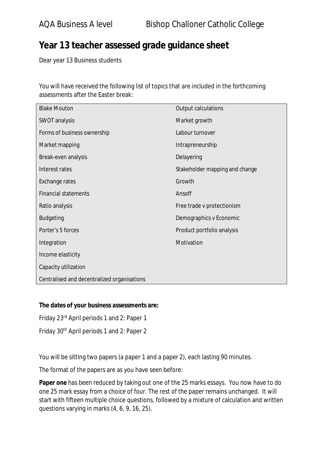## **Year 13 teacher assessed grade guidance sheet**

Dear year 13 Business students

You will have received the following list of topics that are included in the forthcoming assessments after the Easter break:

| <b>Blake Mouton</b>                         | Output calculations            |
|---------------------------------------------|--------------------------------|
| SWOT analysis                               | Market growth                  |
| Forms of business ownership                 | Labour turnover                |
| Market mapping                              | Intrapreneurship               |
| Break-even analysis                         | Delayering                     |
| Interest rates                              | Stakeholder mapping and change |
| <b>Exchange rates</b>                       | Growth                         |
| <b>Financial statements</b>                 | Ansoff                         |
| Ratio analysis                              | Free trade v protectionism     |
| <b>Budgeting</b>                            | Demographics v Economic        |
| Porter's 5 forces                           | Product portfolio analysis     |
| Integration                                 | Motivation                     |
| Income elasticity                           |                                |
| Capacity utilization                        |                                |
| Centralised and decentralized organisations |                                |

## **The dates of your business assessments are:**

Friday 23rd April periods 1 and 2: Paper 1

Friday 30th April periods 1 and 2: Paper 2

You will be sitting two papers (a paper 1 and a paper 2), each lasting 90 minutes.

The format of the papers are as you have seen before:

**Paper one** has been reduced by taking out one of the 25 marks essays. You now have to do one 25 mark essay from a choice of four. The rest of the paper remains unchanged. It will start with fifteen multiple choice questions, followed by a mixture of calculation and written questions varying in marks (4, 6, 9, 16, 25).